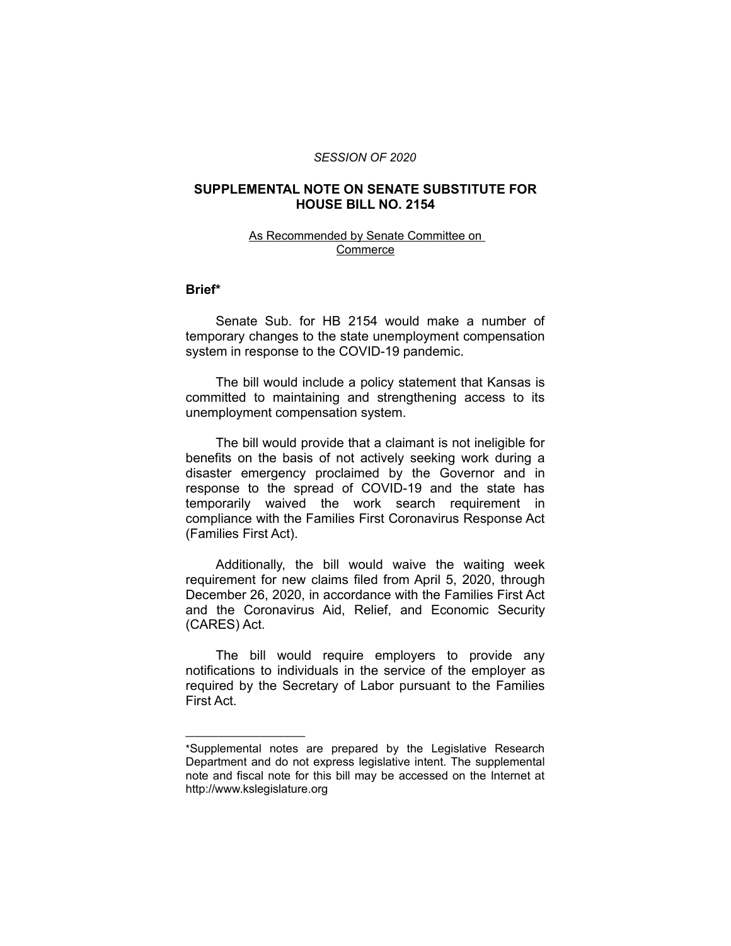#### *SESSION OF 2020*

# **SUPPLEMENTAL NOTE ON SENATE SUBSTITUTE FOR HOUSE BILL NO. 2154**

### As Recommended by Senate Committee on Commerce

# **Brief\***

Senate Sub. for HB 2154 would make a number of temporary changes to the state unemployment compensation system in response to the COVID-19 pandemic.

The bill would include a policy statement that Kansas is committed to maintaining and strengthening access to its unemployment compensation system.

The bill would provide that a claimant is not ineligible for benefits on the basis of not actively seeking work during a disaster emergency proclaimed by the Governor and in response to the spread of COVID-19 and the state has temporarily waived the work search requirement in compliance with the Families First Coronavirus Response Act (Families First Act).

Additionally, the bill would waive the waiting week requirement for new claims filed from April 5, 2020, through December 26, 2020, in accordance with the Families First Act and the Coronavirus Aid, Relief, and Economic Security (CARES) Act.

The bill would require employers to provide any notifications to individuals in the service of the employer as required by the Secretary of Labor pursuant to the Families First Act.

 $\overline{\phantom{a}}$  , where  $\overline{\phantom{a}}$  , where  $\overline{\phantom{a}}$ 

<sup>\*</sup>Supplemental notes are prepared by the Legislative Research Department and do not express legislative intent. The supplemental note and fiscal note for this bill may be accessed on the Internet at http://www.kslegislature.org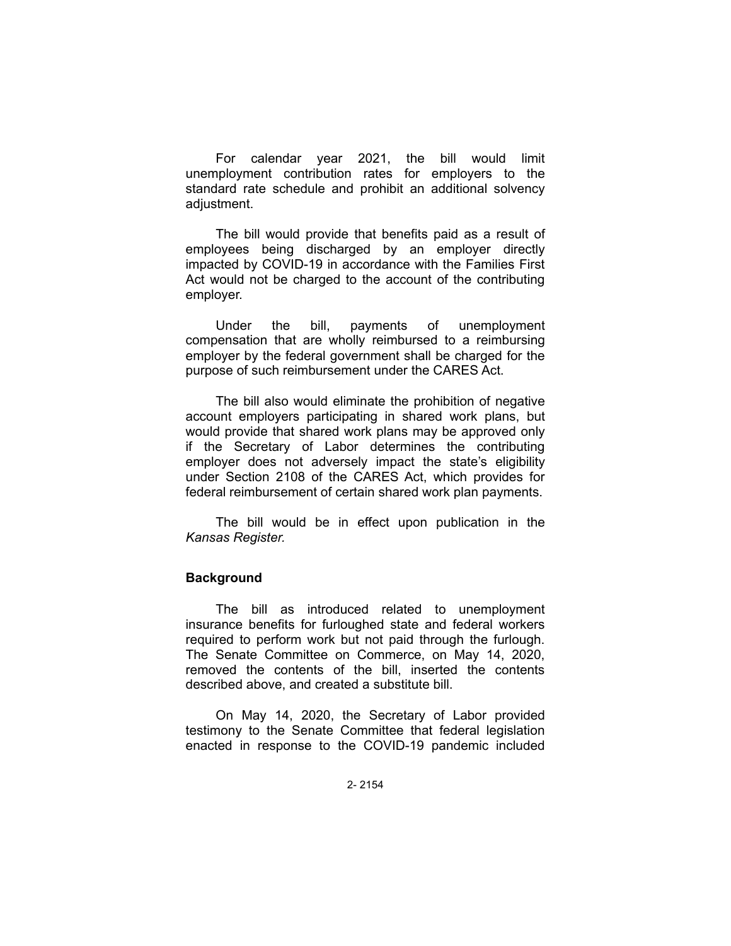For calendar year 2021, the bill would limit unemployment contribution rates for employers to the standard rate schedule and prohibit an additional solvency adjustment.

The bill would provide that benefits paid as a result of employees being discharged by an employer directly impacted by COVID-19 in accordance with the Families First Act would not be charged to the account of the contributing employer.

Under the bill, payments of unemployment compensation that are wholly reimbursed to a reimbursing employer by the federal government shall be charged for the purpose of such reimbursement under the CARES Act.

The bill also would eliminate the prohibition of negative account employers participating in shared work plans, but would provide that shared work plans may be approved only if the Secretary of Labor determines the contributing employer does not adversely impact the state's eligibility under Section 2108 of the CARES Act, which provides for federal reimbursement of certain shared work plan payments.

The bill would be in effect upon publication in the *Kansas Register.*

# **Background**

The bill as introduced related to unemployment insurance benefits for furloughed state and federal workers required to perform work but not paid through the furlough. The Senate Committee on Commerce, on May 14, 2020, removed the contents of the bill, inserted the contents described above, and created a substitute bill.

On May 14, 2020, the Secretary of Labor provided testimony to the Senate Committee that federal legislation enacted in response to the COVID-19 pandemic included